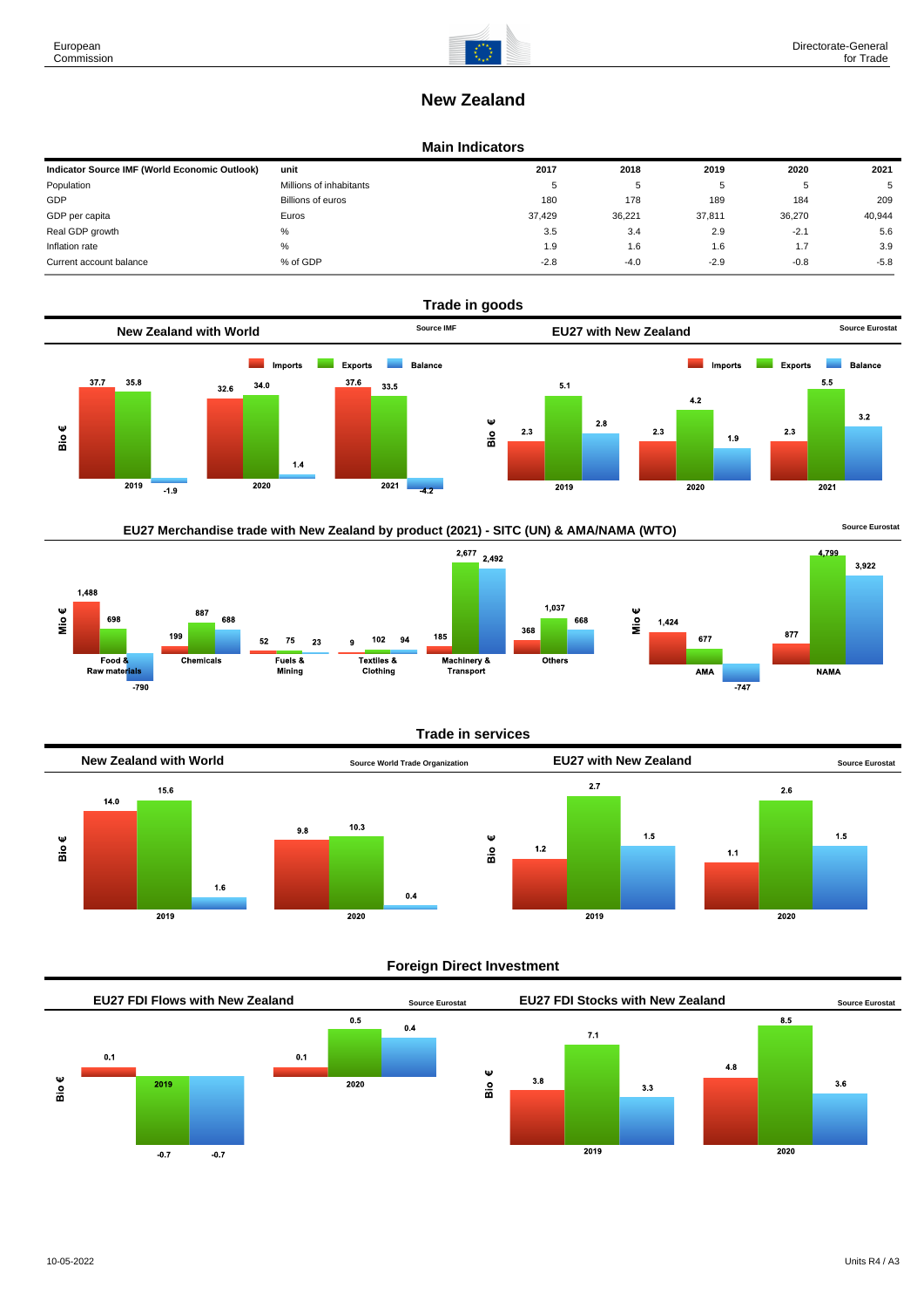

# **New Zealand**

#### **Main Indicators**

| Indicator Source IMF (World Economic Outlook) | unit                    | 2017   | 2018   | 2019   | 2020   | 2021   |
|-----------------------------------------------|-------------------------|--------|--------|--------|--------|--------|
| Population                                    | Millions of inhabitants | 5      | ັ      |        | Ð      | 5      |
| GDP                                           | Billions of euros       | 180    | 178    | 189    | 184    | 209    |
| GDP per capita                                | Euros                   | 37.429 | 36,221 | 37,811 | 36.270 | 40,944 |
| Real GDP growth                               | %                       | 3.5    | 3.4    | 2.9    | $-2.1$ | 5.6    |
| Inflation rate                                | $\%$                    | 1.9    | 1.6    | 1.6    | 1.7    | 3.9    |
| Current account balance                       | % of GDP                | $-2.8$ | $-4.0$ | $-2.9$ | $-0.8$ | $-5.8$ |



## EU27 Merchandise trade with New Zealand by product (2021) - SITC (UN) & AMA/NAMA (WTO) **Source Eurostat**







1.037

Others

668



#### **Foreign Direct Investment**